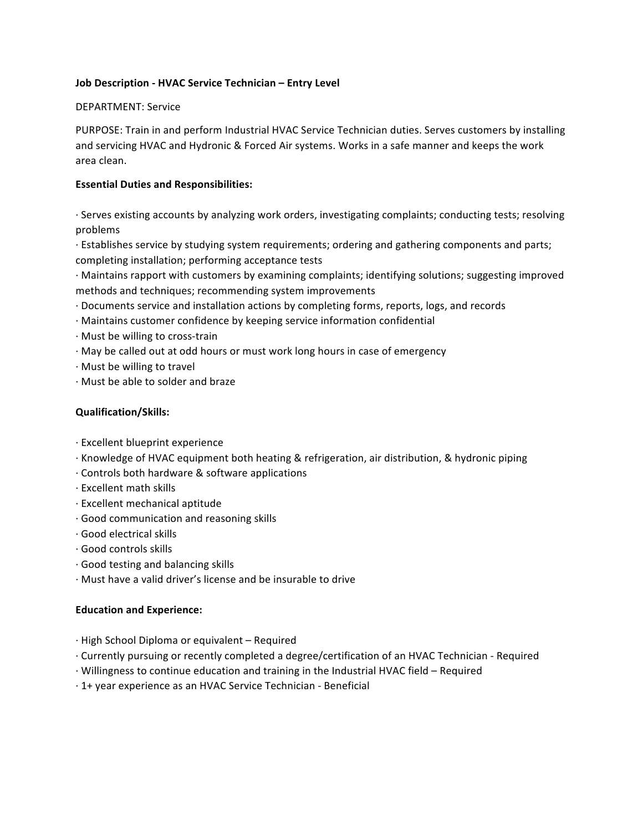# **Job Description - HVAC Service Technician – Entry Level**

### DEPARTMENT: Service

PURPOSE: Train in and perform Industrial HVAC Service Technician duties. Serves customers by installing and servicing HVAC and Hydronic & Forced Air systems. Works in a safe manner and keeps the work area clean.

# **Essential Duties and Responsibilities:**

· Serves existing accounts by analyzing work orders, investigating complaints; conducting tests; resolving problems

· Establishes service by studying system requirements; ordering and gathering components and parts; completing installation; performing acceptance tests

· Maintains rapport with customers by examining complaints; identifying solutions; suggesting improved methods and techniques; recommending system improvements

- · Documents service and installation actions by completing forms, reports, logs, and records
- $\cdot$  Maintains customer confidence by keeping service information confidential
- $\cdot$  Must be willing to cross-train
- · May be called out at odd hours or must work long hours in case of emergency
- $\cdot$  Must be willing to travel
- · Must be able to solder and braze

## **Qualification/Skills:**

- · Excellent blueprint experience
- · Knowledge of HVAC equipment both heating & refrigeration, air distribution, & hydronic piping
- $\cdot$  Controls both hardware & software applications
- $\cdot$  Excellent math skills
- · Excellent mechanical aptitude
- $\cdot$  Good communication and reasoning skills
- · Good electrical skills
- · Good controls skills
- $\cdot$  Good testing and balancing skills
- $\cdot$  Must have a valid driver's license and be insurable to drive

#### **Education and Experience:**

- · High School Diploma or equivalent – Required
- $\cdot$  Currently pursuing or recently completed a degree/certification of an HVAC Technician Required
- · Willingness to continue education and training in the Industrial HVAC field – Required
- · 1+ year experience as an HVAC Service Technician - Beneficial